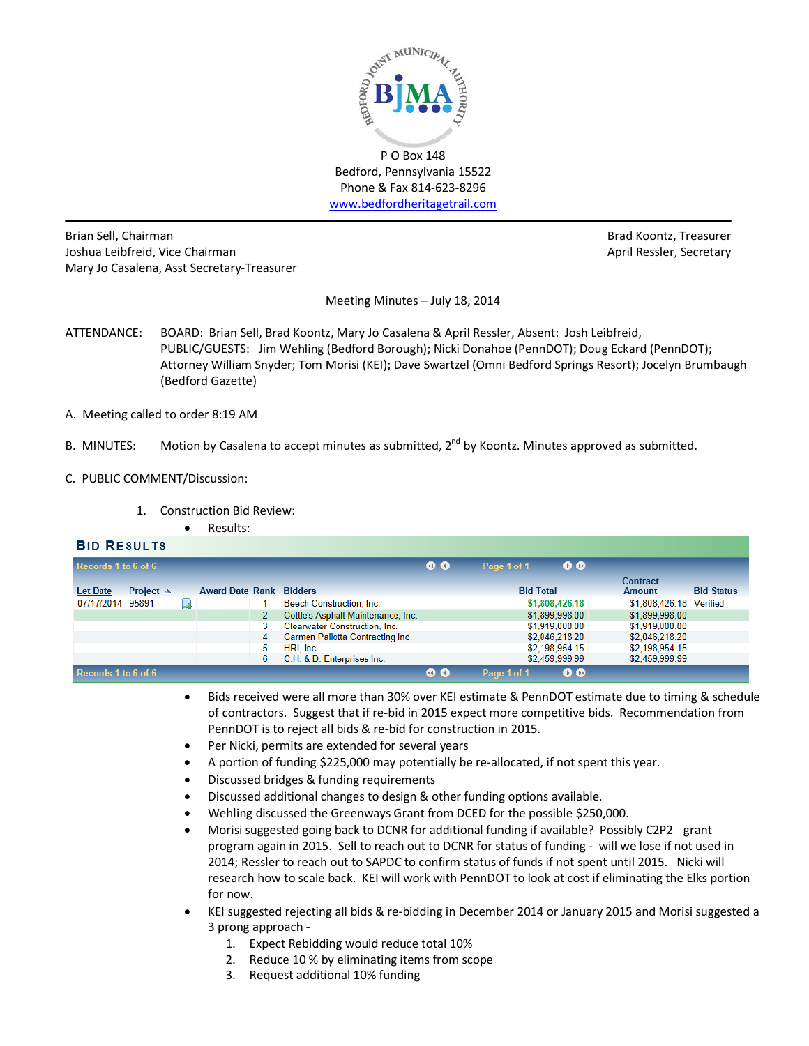

Bedford, Pennsylvania 15522 Phone & Fax 814-623-8296 [www.bedfordheritagetrail.com](http://www.bedfordheritagetrail.com/)

Brian Sell, Chairman Brad Koontz, Treasurer Joshua Leibfreid, Vice Chairman April Ressler, Secretary April Ressler, Secretary Mary Jo Casalena, Asst Secretary-Treasurer

Meeting Minutes – July 18, 2014

- ATTENDANCE: BOARD: Brian Sell, Brad Koontz, Mary Jo Casalena & April Ressler, Absent: Josh Leibfreid, PUBLIC/GUESTS: Jim Wehling (Bedford Borough); Nicki Donahoe (PennDOT); Doug Eckard (PennDOT); Attorney William Snyder; Tom Morisi (KEI); Dave Swartzel (Omni Bedford Springs Resort); Jocelyn Brumbaugh (Bedford Gazette)
- A. Meeting called to order 8:19 AM
- B. MINUTES: Motion by Casalena to accept minutes as submitted, 2<sup>nd</sup> by Koontz. Minutes approved as submitted.
- C. PUBLIC COMMENT/Discussion:
	- 1. Construction Bid Review:
		- Results:

# **BID RESULTS**

| Records 1 to 6 of 6 |                     |    |                                |   |                                    | $\bullet$ $\bullet$ | Page 1 of 1      | $\bullet$      |                           |                   |
|---------------------|---------------------|----|--------------------------------|---|------------------------------------|---------------------|------------------|----------------|---------------------------|-------------------|
| <b>Let Date</b>     | Project $\triangle$ |    | <b>Award Date Rank Bidders</b> |   |                                    |                     | <b>Bid Total</b> |                | Contract<br><b>Amount</b> | <b>Bid Status</b> |
| 07/17/2014 95891    |                     | ۰J |                                |   | Beech Construction, Inc.           |                     |                  | \$1,808,426,18 | \$1,808,426.18 Verified   |                   |
|                     |                     |    |                                |   | Cottle's Asphalt Maintenance, Inc. |                     |                  | \$1,899,998.00 | \$1,899,998.00            |                   |
|                     |                     |    |                                |   | Clearwater Construction, Inc.      |                     |                  | \$1,919,000.00 | \$1,919,000.00            |                   |
|                     |                     |    |                                | 4 | Carmen Paliotta Contracting Inc    |                     |                  | \$2,046,218.20 | \$2,046,218.20            |                   |
|                     |                     |    |                                | 5 | HRI, Inc.                          |                     |                  | \$2,198,954.15 | \$2,198,954.15            |                   |
|                     |                     |    |                                | 6 | C.H. & D. Enterprises Inc.         |                     |                  | \$2,459,999.99 | \$2,459,999.99            |                   |
| Records 1 to 6 of 6 |                     |    |                                |   |                                    | $\bullet$ $\bullet$ | Page 1 of 1      | O O            |                           |                   |

- Bids received were all more than 30% over KEI estimate & PennDOT estimate due to timing & schedule of contractors. Suggest that if re-bid in 2015 expect more competitive bids. Recommendation from PennDOT is to reject all bids & re-bid for construction in 2015.
- Per Nicki, permits are extended for several years
- A portion of funding \$225,000 may potentially be re-allocated, if not spent this year.
- Discussed bridges & funding requirements
- Discussed additional changes to design & other funding options available.
- Wehling discussed the Greenways Grant from DCED for the possible \$250,000.
- Morisi suggested going back to DCNR for additional funding if available? Possibly C2P2 grant program again in 2015. Sell to reach out to DCNR for status of funding - will we lose if not used in 2014; Ressler to reach out to SAPDC to confirm status of funds if not spent until 2015. Nicki will research how to scale back. KEI will work with PennDOT to look at cost if eliminating the Elks portion for now.
- KEI suggested rejecting all bids & re-bidding in December 2014 or January 2015 and Morisi suggested a 3 prong approach -
	- 1. Expect Rebidding would reduce total 10%
	- 2. Reduce 10 % by eliminating items from scope
	- 3. Request additional 10% funding